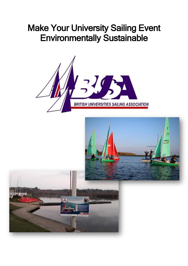# Make Your University Sailing Event Environmentally Sustainable



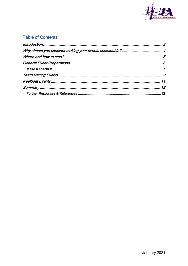

### **Table of Contents**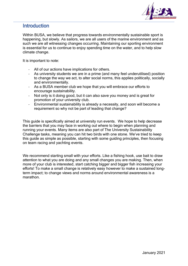

### <span id="page-2-0"></span>**Introduction**

Within BUSA, we believe that progress towards environmentally sustainable sport is happening, but slowly. As sailors, we are all users of the marine environment and as such we are all witnessing changes occurring. Maintaining our sporting environment is essential for us to continue to enjoy spending time on the water, and to help slow climate change.

It is important to note:

- All of our actions have implications for others.
- As university students we are in a prime (and many feel underutilised) position to change the way we act, to alter social norms, this applies politically, socially and environmentally.
- As a BUSA member club we hope that you will embrace our efforts to encourage sustainability.
- Not only is it doing good, but it can also save you money and is great for promotion of your university club.
- Environmental sustainability is already a necessity, and soon will become a requirement so why not be part of leading that change?

This guide is specifically aimed at university run events. We hope to help decrease the barriers that you may face in working out where to begin when planning and running your events. Many items are also part of The University Sustainability Challenge tasks, meaning you can hit two birds with one stone. We've tried to keep this guide as simple as possible, starting with some guiding principles, then focusing on team racing and yachting events.

<span id="page-2-1"></span>We recommend starting small with your efforts. Like a fishing hook, use bait to draw attention to what you are doing and any small changes you are making. Then, when more of your club is interested, start catching bigger and bigger fish increasing your efforts! To make a small change is relatively easy however to make a sustained longterm impact; to change views and norms around environmental awareness is a marathon.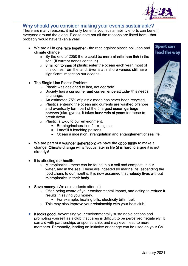

### Why should you consider making your events sustainable?

There are many reasons, it not only benefits you, sustainability efforts can benefit everyone around the globe. Please note not all the reasons are listed here – that probably would have taken a year!

- We are all in one race together the race against plastic pollution and climate change
	- $\circ$  By the end of 2050 there could be more plastic than fish in the sea! (If current trends continue)
	- o 8 million tonnes of plastic enter the ocean each year, most of this comes from the land. Events at inshore venues still have significant impact on our oceans.

#### **The Single Use Plastic Problem**

- o Plastic was designed to last, not degrade.
- o Society has a consumer and convenience attitude- this needs to change.
- o An estimated 75% of plastic made has never been recycled.
- o Plastics entering the ocean and currents are washed offshore and eventually form part of the 5 largest ocean garbage patches (aka. gyres). It takes hundreds of years for these to break down.
- $\circ$  Plastic is toxic to our environment.
	- **Burning/incineration à toxic gases**
	- **Landfill à leaching poisons**
	- **Ocean à ingestion, strangulation and entanglement of sea life.**
- We are part of a younger generation; we have the opportunity to make a change. Climate change will affect us later in life (it is hard to argue it is not already)!
- It is affecting our health.
	- o Microplastics these can be found in our soil and compost, in our water, and in the sea. These are ingested by marine life, ascending the food chain, to our mouths. It is now assumed that nobody lives without microplastics in their body.
- Save money. (We are students after all)
	- o Often being aware of your environmental impact, and acting to reduce it results in saving you money.
		- For example: heating bills, electricity bills, fuel.
	- $\circ$  This may also improve your relationship with your host club!
- It looks good. Advertising your environmentally sustainable actions and promoting yourself as a club that cares is difficult to be perceived negatively. It can aid with partnerships or sponsorship, and may even lead to more members. Personally, leading an initiative or change can be used on your CV.

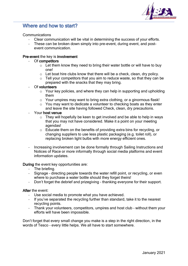

### <span id="page-4-0"></span>Where and how to start?

#### Communications

- Clear communication will be vital in determining the success of your efforts.
- These can be broken down simply into pre-event, during event, and postevent communication.

#### Pre-event the key is involvement

#### Of competitors

- $\circ$  Let them know they need to bring their water bottle or will have to buy one!
- o Let boat hire clubs know that there will be a check, clean, dry policy.
- $\circ$  Tell your competitors that you aim to reduce waste, so that they can be prepared with the snacks that they may bring.

#### Of volunteers

- o Your key policies, and where they can help in supporting and upholding them
- o Your umpires may want to bring extra clothing, or a ginormous flask!
- $\circ$  You may want to dedicate a volunteer to checking boats as they enter and leave the site having followed Check, clean, dry precautions.

#### Your host venue

- $\circ$  They will hopefully be keen to get involved and be able to help in ways that you may not have considered. Make it a point on your meeting agendas!
- o Educate them on the benefits of providing extra bins for recycling, or changing suppliers to use less plastic packaging (e.g. toilet roll), or replacing broken light bulbs with more energy efficient ones.
- Increasing involvement can be done formally through Sailing Instructions and Notices of Race or more informally through social media platforms and event information updates.

#### During the event key opportunities are:

- The briefing.
- Signage directing people towards the water refill point, or recycling, or even where to purchase a water bottle should they forget theirs!
- Don't forget the debrief and prizegiving thanking everyone for their support.

#### After the event:

- Use social media to promote what you have achieved.
- If you've separated the recycling further than standard, take it to the nearest recycling points.
- Thank your volunteers, competitors, umpires and host club without them your efforts will have been impossible.

Don't forget that every small change you make is a step in the right direction, in the words of Tesco – every little helps. We all have to start somewhere.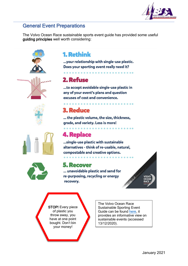

### <span id="page-5-0"></span>General Event Preparations

The Volvo Ocean Race sustainable sports event guide has provided some useful guiding principles well worth considering:









## **1. Rethink**

... your relationship with single-use plastic. Does your sporting event really need it?

# 2. Refuse

...to accept avoidable single-use plastic in any of your event's plans and question excuses of cost and convenience.

<u>in the company of the company of the company of the company of the company of the company of the company of the company of the company of the company of the company of the company of the company of the company of the comp</u>

# **3. Reduce**

... the plastic volume, the size, thickness, grade, and variety. Less is more!

# **4. Replace**

...single-use plastic with sustainable alternatives - think of re-usable, natural, compostable and creative options.

### **5. Recover**

... unavoidable plastic and send for re-purposing, recycling or energy recovery.



**STOP!** Every piece of plastic you throw away, you have at one point bought. Don't bin your money!

The Volvo Ocean Race Sustainable Sporting Event Guide can be found [here,](https://d10n410n1bycop.cloudfront.net/files/m120720_volvo-ocean-race-turn-the-tide-on-plastic-at-sporting-events-user-guide-lr.pdf) it provides an informative view on sustainable events (accessed 13/12/2020).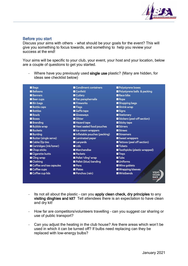

#### <span id="page-6-0"></span>Before you start

Discuss your aims with others - what should be your goals for the event? This will give you something to focus towards, and something to help you review your success at the end!

Your aims will be specific to your club, your event, your host and your location, below are a couple of questions to get you started.

- Where have you previously used single use plastic? (Many are hidden, for ideas see checklist below)

| Polystyrene boxes                           |
|---------------------------------------------|
| Polystyrene balls & packing                 |
|                                             |
|                                             |
| Shopping bags                               |
|                                             |
|                                             |
|                                             |
| Stickers (peel-off section)                 |
|                                             |
|                                             |
|                                             |
|                                             |
| Sweet wrappers                              |
| Tattoos (peel off section)                  |
|                                             |
| <b>Toothpicks (plastic wrapped)</b>         |
|                                             |
|                                             |
|                                             |
|                                             |
| Wrapping/sleeves                            |
| <b>VOLVO</b><br><b>OCEAN</b><br><b>RACE</b> |
| <b>Wine goblets</b>                         |

- Its not all about the plastic can you apply clean check, dry principles to any visiting dinghies and kit? Tell attendees there is an expectation to have clean and dry kit!
- How far are competitors/volunteers travelling can you suggest car sharing or use of public transport?
- Can you adjust the heating in the club house? Are there areas which won't be used in which it can be turned off? If bulbs need replacing can they be replaced with low-energy bulbs?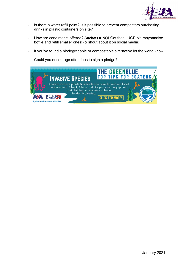

- Is there a water refill point? Is it possible to prevent competitors purchasing drinks in plastic containers on site?
- How are condiments offered? Sachets = NO! Get that HUGE big mayonnaise bottle and refill smaller ones! (& shout about it on social media)
- If you've found a biodegradable or compostable alternative let the world know!
- Could you encourage attendees to sign a pledge?

| <b>INVASIVE SPECIES</b>                                                                                                                                                             | <b>THE GREENBLUE</b><br><b>TOP TIPS FOR BOATERS</b> |  |  |
|-------------------------------------------------------------------------------------------------------------------------------------------------------------------------------------|-----------------------------------------------------|--|--|
| Aquatic invasive plants & animals can harm kit and our local<br>environment. Check, Clean and Dry your craft, equipment<br>and clothing to remove visible and<br>hidden biofouling. |                                                     |  |  |
| <b>BRITISH</b><br>A joint environment initiative                                                                                                                                    | <b>CLICK FOR MORE!</b>                              |  |  |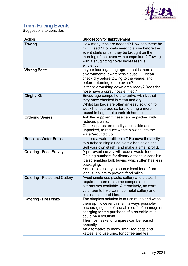

### <span id="page-8-0"></span>Team Racing Events

Suggestions to consider:

| Action                               | <b>Suggestion for improvement</b>                                                                                                                                                                                                                                                                                                                                           |
|--------------------------------------|-----------------------------------------------------------------------------------------------------------------------------------------------------------------------------------------------------------------------------------------------------------------------------------------------------------------------------------------------------------------------------|
| Towing                               | How many trips are needed? How can these be<br>minimised? Do boats need to arrive before the<br>event starts or can they be brought on the<br>morning of the event with competitors? Towing<br>with a snug fitting cover increases fuel<br>efficiency.                                                                                                                      |
| <b>Visiting Boats</b>                | In your loaning/hiring agreement is there an<br>environmental awareness clause RE clean<br>check dry before towing to the venue, and<br>before returning to the owner?<br>Is there a washing down area ready? Does the<br>hose have a spray nozzle fitted?                                                                                                                  |
| <b>Dinghy Kit</b>                    | Encourage competitors to arrive with kit that<br>they have checked is clean and dry!<br>Whilst bin bags are often an easy solution for<br>wet kit, encourage sailors to bring a more<br>reusable bag to take their kit home in.                                                                                                                                             |
| <b>Ordering Spares</b>               | Ask the supplier if these can be packed with<br>reduced plastic.<br>Check spares are readily accessible and<br>unpacked, to reduce waste blowing into the<br>water/around club                                                                                                                                                                                              |
| <b>Reusable Water Bottles</b>        | Is there a water refill point? Remove the ability<br>to purchase single use plastic bottles on site.<br>Sell your own stash (and make a small profit).                                                                                                                                                                                                                      |
| <b>Catering - Food Survey</b>        | A pre-event survey will reduce waste food.<br>Gaining numbers for dietary options is sensible.<br>It also enables bulk buying which often has less<br>packaging.<br>You could also try to source local food, from<br>local suppliers to prevent food miles.                                                                                                                 |
| <b>Catering - Plates and Cutlery</b> | Avoid single use plastic cutlery and plates! If<br>required, there are some compostable<br>alternatives available. Alternatively, an extra<br>volunteer to help wash up metal cutlery and<br>plates isn't a bad idea.                                                                                                                                                       |
| <b>Catering - Hot Drinks</b>         | The simplest solution is to use mugs and wash<br>them up, however this isn't always possible-<br>encouraging use of reusable coffee/tea mugs or<br>charging for the purchase of a reusable mug<br>could be a solution!<br>Thermos flasks for umpires can be reused<br>annually.<br>An alternative to many small tea bags and<br>kettles is to use urns, for coffee and tea. |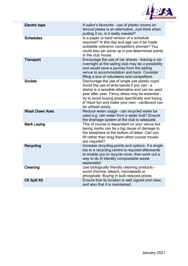

| <b>Electric tape</b>  | A sailor's favourite - use of plastic covers on<br>shroud plates is an alternative. Just think when<br>putting it on, is it really needed?                                                                                                                                                                                        |
|-----------------------|-----------------------------------------------------------------------------------------------------------------------------------------------------------------------------------------------------------------------------------------------------------------------------------------------------------------------------------|
| <b>Schedules</b>      | Is a paper or hard version of a schedule<br>required? In this day and age can it be made<br>available online/on competitors phones? You<br>could also pin some up in pre-determined points<br>in the club house.                                                                                                                  |
| <b>Transport</b>      | Encourage the use of car shares - leaving a car<br>overnight at the sailing club may be a possibility<br>and would save a journey from the sailing<br>venue to accommodation and back. Consider<br>filling a bus of volunteers and competitors.                                                                                   |
| <b>Socials</b>        | Discourage the use of single use plastic cups!<br>Avoid the use of wrist bands if you can - a<br>stamp is a sensible alternative and can be used<br>year after year. Fancy dress may be essential -<br>try to avoid buying props specifically and losing<br>it! Have fun and make your own - cardboard can<br>be utilised easily. |
| <b>Wash Down Area</b> | Reduce water usage - can recycled water be<br>used e.g. rain water from a water butt? Ensure<br>the drainage system at the club is adequate.                                                                                                                                                                                      |
| <b>Mark Laying</b>    | This of course is dependent on your venue but<br>laying marks can be a big cause of damage to<br>the biosphere at the bottom of lakes. Can you<br>lift rather than drag them when course moves<br>are required?                                                                                                                   |
| Recycling             | Increase recycling points and options, if a single<br>trip to a recycling centre is required afterwards<br>to enable you to recycle more, then work out a<br>way to do it! Identify compostable waste<br>separately!                                                                                                              |
| Cleaning              | Use biologically friendly cleaning products -<br>avoid chlorine, bleach, microbeads or<br>phosphate. Buying in bulk reduces prices.                                                                                                                                                                                               |
| <b>Oil Spill Kit</b>  | Ensure that its location is well signed and clear,<br>and also that it is maintained.                                                                                                                                                                                                                                             |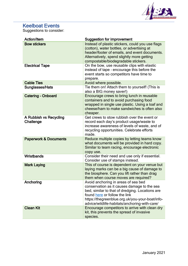

### <span id="page-10-0"></span>Keelboat Events

Suggestions to consider:

| <b>Action/Item</b>                  | <b>Suggestion for improvement</b>                                                                                                                                                                                                                                          |
|-------------------------------------|----------------------------------------------------------------------------------------------------------------------------------------------------------------------------------------------------------------------------------------------------------------------------|
| <b>Bow stickers</b>                 | Instead of plastic stickers, could you use flags<br>(cotton), water bottles, or advertising at<br>header/footer of emails, and event documents.<br>Alternatively, spend slightly more getting<br>compostable/biodegradable stickers.                                       |
| <b>Electrical Tape</b>              | On the bow, use reusable clips with elastic<br>instead of tape - encourage this before the<br>event starts so competitors have time to<br>prepare.                                                                                                                         |
| <b>Cable Ties</b>                   | Avoid where possible.                                                                                                                                                                                                                                                      |
| <b>Sunglasses/Hats</b>              | Tie them on! Attach them to yourself! (This is<br>also a BIG money saver!)                                                                                                                                                                                                 |
| <b>Catering - Onboard</b>           | Encourage crews to bring lunch in reusable<br>containers and to avoid purchasing food<br>wrapped in single use plastic. Using a loaf and<br>cheese/ham to make sandwiches is often also<br>cheaper.                                                                        |
| A Rubbish vs Recycling<br>Challenge | Get crews to stow rubbish over the event or<br>record each day's product usage/waste to<br>increase awareness of levels of waste, and of<br>recycling opportunities. Celebrate efforts<br>made.                                                                            |
| <b>Paperwork &amp; Documents</b>    | Reduce multiple copies by letting teams know<br>what documents will be provided in hard copy.<br>Similar to team racing, encourage electronic<br>copy use.                                                                                                                 |
| <b>Wristbands</b>                   | Consider their need and use only if essential.<br>Consider use of stamps instead.                                                                                                                                                                                          |
| <b>Mark Laying</b>                  | This of course is dependent on your venue but<br>laying marks can be a big cause of damage to<br>the biosphere. Can you lift rather than drag<br>them when course moves are required?                                                                                      |
| Anchoring                           | Avoid anchoring in areas of sea bed<br>conservation as it causes damage to the sea<br>bed, similar to that of dredging. Locations are<br>found here or follow the link<br>https://thegreenblue.org.uk/you-your-boat/info-<br>advice/wildlife-habitats/anchoring-with-care/ |
| <b>Clean Kit</b>                    | Encourage competitors to arrive with clean dry<br>kit, this prevents the spread of invasive<br>species.                                                                                                                                                                    |